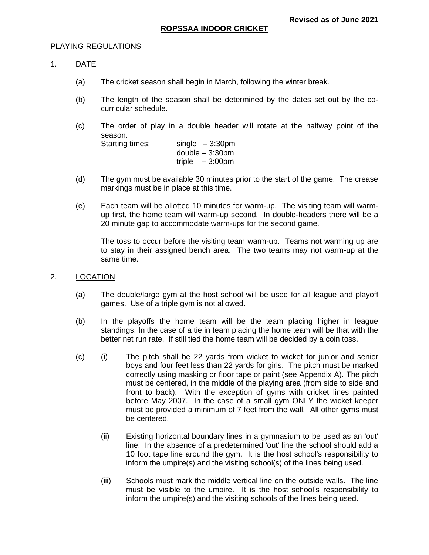#### PLAYING REGULATIONS

#### 1. DATE

- (a) The cricket season shall begin in March, following the winter break.
- (b) The length of the season shall be determined by the dates set out by the cocurricular schedule.
- (c) The order of play in a double header will rotate at the halfway point of the season.

Starting times: single – 3:30pm double – 3:30pm triple – 3:00pm

- (d) The gym must be available 30 minutes prior to the start of the game. The crease markings must be in place at this time.
- (e) Each team will be allotted 10 minutes for warm-up. The visiting team will warmup first, the home team will warm-up second. In double-headers there will be a 20 minute gap to accommodate warm-ups for the second game.

The toss to occur before the visiting team warm-up. Teams not warming up are to stay in their assigned bench area. The two teams may not warm-up at the same time.

#### 2. LOCATION

- (a) The double/large gym at the host school will be used for all league and playoff games. Use of a triple gym is not allowed.
- (b) In the playoffs the home team will be the team placing higher in league standings. In the case of a tie in team placing the home team will be that with the better net run rate. If still tied the home team will be decided by a coin toss.
- (c) (i) The pitch shall be 22 yards from wicket to wicket for junior and senior boys and four feet less than 22 yards for girls. The pitch must be marked correctly using masking or floor tape or paint (see Appendix A). The pitch must be centered, in the middle of the playing area (from side to side and front to back). With the exception of gyms with cricket lines painted before May 2007. In the case of a small gym ONLY the wicket keeper must be provided a minimum of 7 feet from the wall. All other gyms must be centered.
	- (ii) Existing horizontal boundary lines in a gymnasium to be used as an 'out' line. In the absence of a predetermined 'out' line the school should add a 10 foot tape line around the gym. It is the host school's responsibility to inform the umpire(s) and the visiting school(s) of the lines being used.
	- (iii) Schools must mark the middle vertical line on the outside walls. The line must be visible to the umpire. It is the host school's responsibility to inform the umpire(s) and the visiting schools of the lines being used.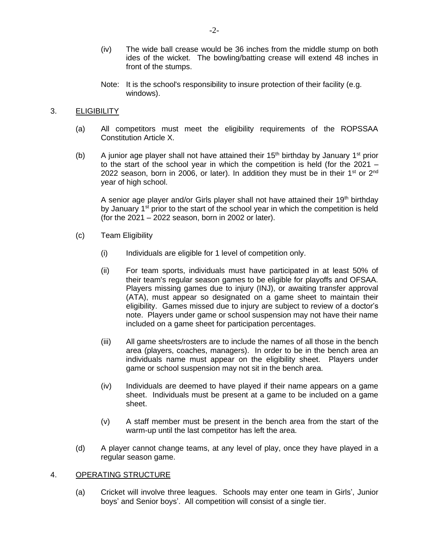- (iv) The wide ball crease would be 36 inches from the middle stump on both ides of the wicket. The bowling/batting crease will extend 48 inches in front of the stumps.
- Note: It is the school's responsibility to insure protection of their facility (e.g. windows).

### 3. **ELIGIBILITY**

- (a) All competitors must meet the eligibility requirements of the ROPSSAA Constitution Article X.
- (b) A junior age player shall not have attained their  $15<sup>th</sup>$  birthday by January  $1<sup>st</sup>$  prior to the start of the school year in which the competition is held (for the 2021 – 2022 season, born in 2006, or later). In addition they must be in their  $1<sup>st</sup>$  or  $2<sup>nd</sup>$ year of high school.

A senior age player and/or Girls player shall not have attained their 19<sup>th</sup> birthday by January 1<sup>st</sup> prior to the start of the school year in which the competition is held (for the 2021 – 2022 season, born in 2002 or later).

- (c) Team Eligibility
	- (i) Individuals are eligible for 1 level of competition only.
	- (ii) For team sports, individuals must have participated in at least 50% of their team's regular season games to be eligible for playoffs and OFSAA. Players missing games due to injury (INJ), or awaiting transfer approval (ATA), must appear so designated on a game sheet to maintain their eligibility. Games missed due to injury are subject to review of a doctor's note. Players under game or school suspension may not have their name included on a game sheet for participation percentages.
	- (iii) All game sheets/rosters are to include the names of all those in the bench area (players, coaches, managers). In order to be in the bench area an individuals name must appear on the eligibility sheet. Players under game or school suspension may not sit in the bench area.
	- (iv) Individuals are deemed to have played if their name appears on a game sheet. Individuals must be present at a game to be included on a game sheet.
	- (v) A staff member must be present in the bench area from the start of the warm-up until the last competitor has left the area.
- (d) A player cannot change teams, at any level of play, once they have played in a regular season game.

### 4. OPERATING STRUCTURE

(a) Cricket will involve three leagues. Schools may enter one team in Girls', Junior boys' and Senior boys'. All competition will consist of a single tier.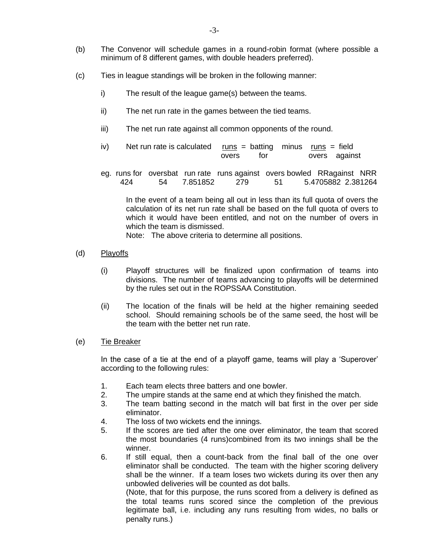- (b) The Convenor will schedule games in a round-robin format (where possible a minimum of 8 different games, with double headers preferred).
- (c) Ties in league standings will be broken in the following manner:
	- i) The result of the league game(s) between the teams.
	- ii) The net run rate in the games between the tied teams.
	- iii) The net run rate against all common opponents of the round.
	- iv) Net run rate is calculated  $runs = \text{batting}$  minus  $runs = \text{field}$ overs for overs against
	- eg. runs for oversbat run rate runs against overs bowled RRagainst NRR 424 54 7.851852 279 51 5.4705882 2.381264

In the event of a team being all out in less than its full quota of overs the calculation of its net run rate shall be based on the full quota of overs to which it would have been entitled, and not on the number of overs in which the team is dismissed.

Note: The above criteria to determine all positions.

- (d) Playoffs
	- (i) Playoff structures will be finalized upon confirmation of teams into divisions. The number of teams advancing to playoffs will be determined by the rules set out in the ROPSSAA Constitution.
	- (ii) The location of the finals will be held at the higher remaining seeded school. Should remaining schools be of the same seed, the host will be the team with the better net run rate.
- (e) Tie Breaker

In the case of a tie at the end of a playoff game, teams will play a 'Superover' according to the following rules:

- 1. Each team elects three batters and one bowler.
- 2. The umpire stands at the same end at which they finished the match.
- 3. The team batting second in the match will bat first in the over per side eliminator.
- 4. The loss of two wickets end the innings.
- 5. If the scores are tied after the one over eliminator, the team that scored the most boundaries (4 runs)combined from its two innings shall be the winner.
- 6. If still equal, then a count-back from the final ball of the one over eliminator shall be conducted. The team with the higher scoring delivery shall be the winner. If a team loses two wickets during its over then any unbowled deliveries will be counted as dot balls.

(Note, that for this purpose, the runs scored from a delivery is defined as the total teams runs scored since the completion of the previous legitimate ball, i.e. including any runs resulting from wides, no balls or penalty runs.)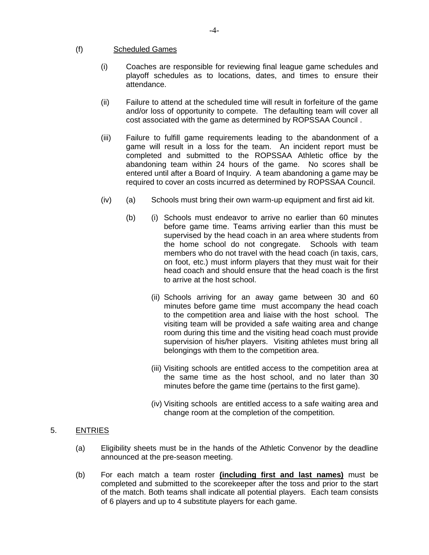### (f) Scheduled Games

- (i) Coaches are responsible for reviewing final league game schedules and playoff schedules as to locations, dates, and times to ensure their attendance.
- (ii) Failure to attend at the scheduled time will result in forfeiture of the game and/or loss of opportunity to compete. The defaulting team will cover all cost associated with the game as determined by ROPSSAA Council .
- (iii) Failure to fulfill game requirements leading to the abandonment of a game will result in a loss for the team. An incident report must be completed and submitted to the ROPSSAA Athletic office by the abandoning team within 24 hours of the game. No scores shall be entered until after a Board of Inquiry. A team abandoning a game may be required to cover an costs incurred as determined by ROPSSAA Council.
- $(iv)$  (a) Schools must bring their own warm-up equipment and first aid kit.
	- (b) (i) Schools must endeavor to arrive no earlier than 60 minutes before game time. Teams arriving earlier than this must be supervised by the head coach in an area where students from the home school do not congregate. Schools with team members who do not travel with the head coach (in taxis, cars, on foot, etc.) must inform players that they must wait for their head coach and should ensure that the head coach is the first to arrive at the host school.
		- (ii) Schools arriving for an away game between 30 and 60 minutes before game time must accompany the head coach to the competition area and liaise with the host school. The visiting team will be provided a safe waiting area and change room during this time and the visiting head coach must provide supervision of his/her players. Visiting athletes must bring all belongings with them to the competition area.
		- (iii) Visiting schools are entitled access to the competition area at the same time as the host school, and no later than 30 minutes before the game time (pertains to the first game).
		- (iv) Visiting schools are entitled access to a safe waiting area and change room at the completion of the competition.

# 5. ENTRIES

- (a) Eligibility sheets must be in the hands of the Athletic Convenor by the deadline announced at the pre-season meeting.
- (b) For each match a team roster **(including first and last names)** must be completed and submitted to the scorekeeper after the toss and prior to the start of the match. Both teams shall indicate all potential players. Each team consists of 6 players and up to 4 substitute players for each game.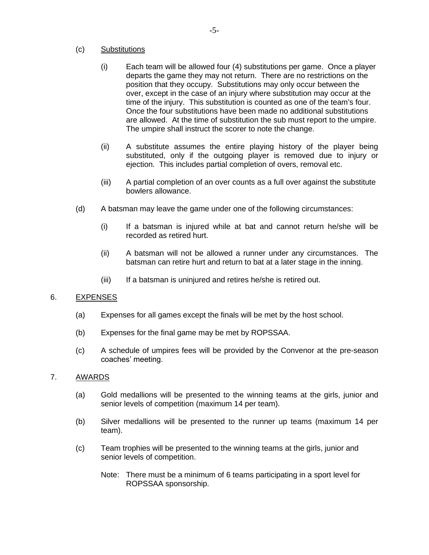## (c) Substitutions

- (i) Each team will be allowed four (4) substitutions per game. Once a player departs the game they may not return. There are no restrictions on the position that they occupy. Substitutions may only occur between the over, except in the case of an injury where substitution may occur at the time of the injury. This substitution is counted as one of the team's four. Once the four substitutions have been made no additional substitutions are allowed. At the time of substitution the sub must report to the umpire. The umpire shall instruct the scorer to note the change.
- (ii) A substitute assumes the entire playing history of the player being substituted, only if the outgoing player is removed due to injury or ejection. This includes partial completion of overs, removal etc.
- (iii) A partial completion of an over counts as a full over against the substitute bowlers allowance.
- (d) A batsman may leave the game under one of the following circumstances:
	- (i) If a batsman is injured while at bat and cannot return he/she will be recorded as retired hurt.
	- (ii) A batsman will not be allowed a runner under any circumstances. The batsman can retire hurt and return to bat at a later stage in the inning.
	- (iii) If a batsman is uninjured and retires he/she is retired out.

# 6. EXPENSES

- (a) Expenses for all games except the finals will be met by the host school.
- (b) Expenses for the final game may be met by ROPSSAA.
- (c) A schedule of umpires fees will be provided by the Convenor at the pre-season coaches' meeting.

### 7. AWARDS

- (a) Gold medallions will be presented to the winning teams at the girls, junior and senior levels of competition (maximum 14 per team).
- (b) Silver medallions will be presented to the runner up teams (maximum 14 per team).
- (c) Team trophies will be presented to the winning teams at the girls, junior and senior levels of competition.
	- Note: There must be a minimum of 6 teams participating in a sport level for ROPSSAA sponsorship.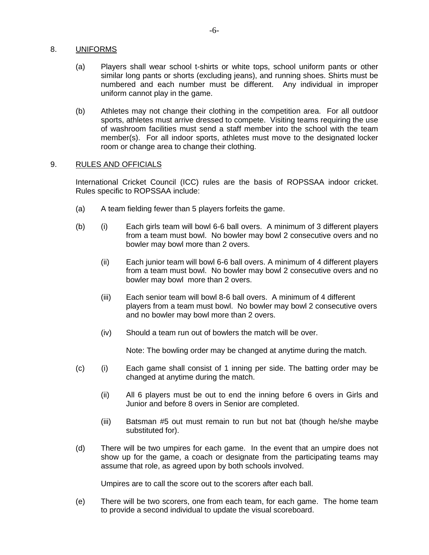# 8. UNIFORMS

- (a) Players shall wear school t-shirts or white tops, school uniform pants or other similar long pants or shorts (excluding jeans), and running shoes. Shirts must be numbered and each number must be different. Any individual in improper uniform cannot play in the game.
- (b) Athletes may not change their clothing in the competition area. For all outdoor sports, athletes must arrive dressed to compete. Visiting teams requiring the use of washroom facilities must send a staff member into the school with the team member(s). For all indoor sports, athletes must move to the designated locker room or change area to change their clothing.

## 9. RULES AND OFFICIALS

International Cricket Council (ICC) rules are the basis of ROPSSAA indoor cricket. Rules specific to ROPSSAA include:

- (a) A team fielding fewer than 5 players forfeits the game.
- (b) (i) Each girls team will bowl 6-6 ball overs. A minimum of 3 different players from a team must bowl. No bowler may bowl 2 consecutive overs and no bowler may bowl more than 2 overs.
	- (ii) Each junior team will bowl 6-6 ball overs. A minimum of 4 different players from a team must bowl. No bowler may bowl 2 consecutive overs and no bowler may bowl more than 2 overs.
	- (iii) Each senior team will bowl 8-6 ball overs. A minimum of 4 different players from a team must bowl. No bowler may bowl 2 consecutive overs and no bowler may bowl more than 2 overs.
	- (iv) Should a team run out of bowlers the match will be over.

Note: The bowling order may be changed at anytime during the match.

- (c) (i) Each game shall consist of 1 inning per side. The batting order may be changed at anytime during the match.
	- (ii) All 6 players must be out to end the inning before 6 overs in Girls and Junior and before 8 overs in Senior are completed.
	- (iii) Batsman #5 out must remain to run but not bat (though he/she maybe substituted for).
- (d) There will be two umpires for each game. In the event that an umpire does not show up for the game, a coach or designate from the participating teams may assume that role, as agreed upon by both schools involved.

Umpires are to call the score out to the scorers after each ball.

(e) There will be two scorers, one from each team, for each game. The home team to provide a second individual to update the visual scoreboard.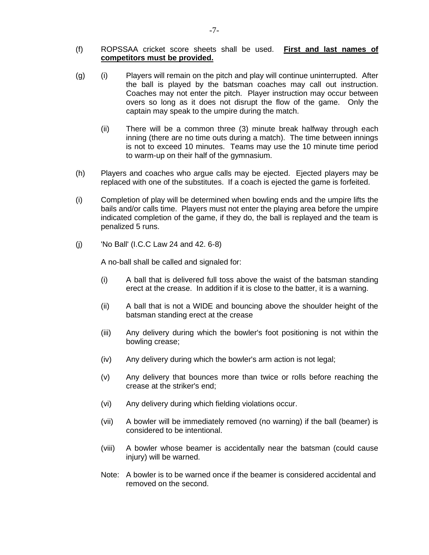### (f) ROPSSAA cricket score sheets shall be used. **First and last names of competitors must be provided.**

- (g) (i) Players will remain on the pitch and play will continue uninterrupted. After the ball is played by the batsman coaches may call out instruction. Coaches may not enter the pitch. Player instruction may occur between overs so long as it does not disrupt the flow of the game. Only the captain may speak to the umpire during the match.
	- (ii) There will be a common three (3) minute break halfway through each inning (there are no time outs during a match). The time between innings is not to exceed 10 minutes. Teams may use the 10 minute time period to warm-up on their half of the gymnasium.
- (h) Players and coaches who argue calls may be ejected. Ejected players may be replaced with one of the substitutes. If a coach is ejected the game is forfeited.
- (i) Completion of play will be determined when bowling ends and the umpire lifts the bails and/or calls time. Players must not enter the playing area before the umpire indicated completion of the game, if they do, the ball is replayed and the team is penalized 5 runs.
- (j) 'No Ball' (I.C.C Law 24 and 42. 6-8)

A no-ball shall be called and signaled for:

- (i) A ball that is delivered full toss above the waist of the batsman standing erect at the crease. In addition if it is close to the batter, it is a warning.
- (ii) A ball that is not a WIDE and bouncing above the shoulder height of the batsman standing erect at the crease
- (iii) Any delivery during which the bowler's foot positioning is not within the bowling crease;
- (iv) Any delivery during which the bowler's arm action is not legal;
- (v) Any delivery that bounces more than twice or rolls before reaching the crease at the striker's end;
- (vi) Any delivery during which fielding violations occur.
- (vii) A bowler will be immediately removed (no warning) if the ball (beamer) is considered to be intentional.
- (viii) A bowler whose beamer is accidentally near the batsman (could cause injury) will be warned.
- Note: A bowler is to be warned once if the beamer is considered accidental and removed on the second.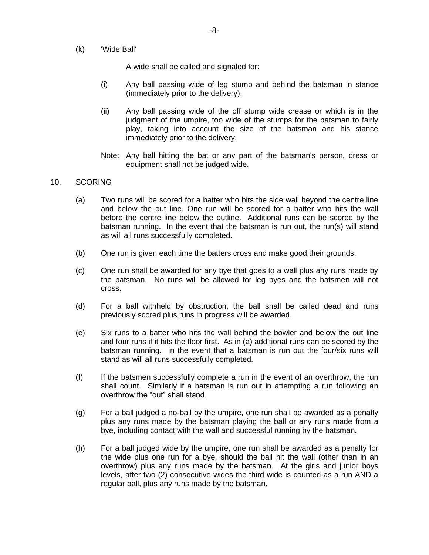(k) 'Wide Ball'

A wide shall be called and signaled for:

- (i) Any ball passing wide of leg stump and behind the batsman in stance (immediately prior to the delivery):
- (ii) Any ball passing wide of the off stump wide crease or which is in the judgment of the umpire, too wide of the stumps for the batsman to fairly play, taking into account the size of the batsman and his stance immediately prior to the delivery.
- Note: Any ball hitting the bat or any part of the batsman's person, dress or equipment shall not be judged wide.

#### 10. SCORING

- (a) Two runs will be scored for a batter who hits the side wall beyond the centre line and below the out line. One run will be scored for a batter who hits the wall before the centre line below the outline. Additional runs can be scored by the batsman running. In the event that the batsman is run out, the run(s) will stand as will all runs successfully completed.
- (b) One run is given each time the batters cross and make good their grounds.
- (c) One run shall be awarded for any bye that goes to a wall plus any runs made by the batsman. No runs will be allowed for leg byes and the batsmen will not cross.
- (d) For a ball withheld by obstruction, the ball shall be called dead and runs previously scored plus runs in progress will be awarded.
- (e) Six runs to a batter who hits the wall behind the bowler and below the out line and four runs if it hits the floor first. As in (a) additional runs can be scored by the batsman running. In the event that a batsman is run out the four/six runs will stand as will all runs successfully completed.
- (f) If the batsmen successfully complete a run in the event of an overthrow, the run shall count. Similarly if a batsman is run out in attempting a run following an overthrow the "out" shall stand.
- (g) For a ball judged a no-ball by the umpire, one run shall be awarded as a penalty plus any runs made by the batsman playing the ball or any runs made from a bye, including contact with the wall and successful running by the batsman.
- (h) For a ball judged wide by the umpire, one run shall be awarded as a penalty for the wide plus one run for a bye, should the ball hit the wall (other than in an overthrow) plus any runs made by the batsman. At the girls and junior boys levels, after two (2) consecutive wides the third wide is counted as a run AND a regular ball, plus any runs made by the batsman.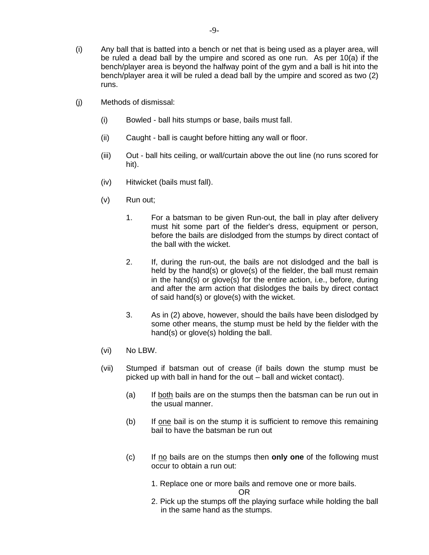- (i) Any ball that is batted into a bench or net that is being used as a player area, will be ruled a dead ball by the umpire and scored as one run. As per 10(a) if the bench/player area is beyond the halfway point of the gym and a ball is hit into the bench/player area it will be ruled a dead ball by the umpire and scored as two (2) runs.
- (j) Methods of dismissal:
	- (i) Bowled ball hits stumps or base, bails must fall.
	- (ii) Caught ball is caught before hitting any wall or floor.
	- (iii) Out ball hits ceiling, or wall/curtain above the out line (no runs scored for hit).
	- (iv) Hitwicket (bails must fall).
	- (v) Run out;
		- 1. For a batsman to be given Run-out, the ball in play after delivery must hit some part of the fielder's dress, equipment or person, before the bails are dislodged from the stumps by direct contact of the ball with the wicket.
		- 2. If, during the run-out, the bails are not dislodged and the ball is held by the hand(s) or glove(s) of the fielder, the ball must remain in the hand(s) or glove(s) for the entire action, i.e., before, during and after the arm action that dislodges the bails by direct contact of said hand(s) or glove(s) with the wicket.
		- 3. As in (2) above, however, should the bails have been dislodged by some other means, the stump must be held by the fielder with the hand(s) or glove(s) holding the ball.
	- (vi) No LBW.
	- (vii) Stumped if batsman out of crease (if bails down the stump must be picked up with ball in hand for the out – ball and wicket contact).
		- (a) If both bails are on the stumps then the batsman can be run out in the usual manner.
		- (b) If one bail is on the stump it is sufficient to remove this remaining bail to have the batsman be run out
		- (c) If no bails are on the stumps then **only one** of the following must occur to obtain a run out:
			- 1. Replace one or more bails and remove one or more bails.

OR

2. Pick up the stumps off the playing surface while holding the ball in the same hand as the stumps.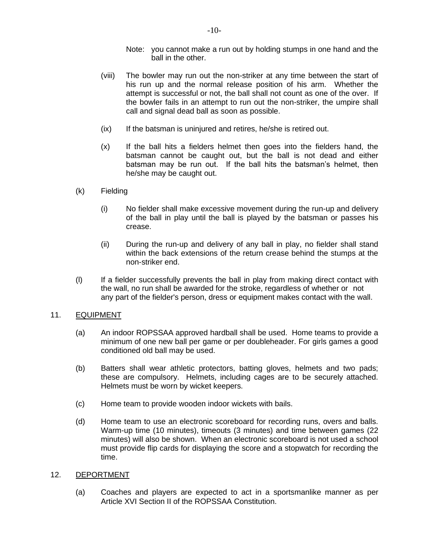- Note: you cannot make a run out by holding stumps in one hand and the ball in the other.
- (viii) The bowler may run out the non-striker at any time between the start of his run up and the normal release position of his arm. Whether the attempt is successful or not, the ball shall not count as one of the over. If the bowler fails in an attempt to run out the non-striker, the umpire shall call and signal dead ball as soon as possible.
- (ix) If the batsman is uninjured and retires, he/she is retired out.
- (x) If the ball hits a fielders helmet then goes into the fielders hand, the batsman cannot be caught out, but the ball is not dead and either batsman may be run out. If the ball hits the batsman's helmet, then he/she may be caught out.
- (k) Fielding
	- (i) No fielder shall make excessive movement during the run-up and delivery of the ball in play until the ball is played by the batsman or passes his crease.
	- (ii) During the run-up and delivery of any ball in play, no fielder shall stand within the back extensions of the return crease behind the stumps at the non-striker end.
- (l) If a fielder successfully prevents the ball in play from making direct contact with the wall, no run shall be awarded for the stroke, regardless of whether or not any part of the fielder's person, dress or equipment makes contact with the wall.

### 11. EQUIPMENT

- (a) An indoor ROPSSAA approved hardball shall be used. Home teams to provide a minimum of one new ball per game or per doubleheader. For girls games a good conditioned old ball may be used.
- (b) Batters shall wear athletic protectors, batting gloves, helmets and two pads; these are compulsory. Helmets, including cages are to be securely attached. Helmets must be worn by wicket keepers.
- (c) Home team to provide wooden indoor wickets with bails.
- (d) Home team to use an electronic scoreboard for recording runs, overs and balls. Warm-up time (10 minutes), timeouts (3 minutes) and time between games (22 minutes) will also be shown. When an electronic scoreboard is not used a school must provide flip cards for displaying the score and a stopwatch for recording the time.

### 12. DEPORTMENT

(a) Coaches and players are expected to act in a sportsmanlike manner as per Article XVI Section II of the ROPSSAA Constitution.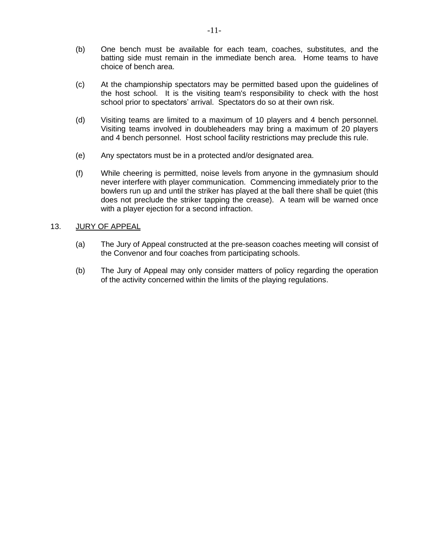- (b) One bench must be available for each team, coaches, substitutes, and the batting side must remain in the immediate bench area. Home teams to have choice of bench area.
- (c) At the championship spectators may be permitted based upon the guidelines of the host school. It is the visiting team's responsibility to check with the host school prior to spectators' arrival. Spectators do so at their own risk.
- (d) Visiting teams are limited to a maximum of 10 players and 4 bench personnel. Visiting teams involved in doubleheaders may bring a maximum of 20 players and 4 bench personnel. Host school facility restrictions may preclude this rule.
- (e) Any spectators must be in a protected and/or designated area.
- (f) While cheering is permitted, noise levels from anyone in the gymnasium should never interfere with player communication. Commencing immediately prior to the bowlers run up and until the striker has played at the ball there shall be quiet (this does not preclude the striker tapping the crease). A team will be warned once with a player ejection for a second infraction.

## 13. JURY OF APPEAL

- (a) The Jury of Appeal constructed at the pre-season coaches meeting will consist of the Convenor and four coaches from participating schools.
- (b) The Jury of Appeal may only consider matters of policy regarding the operation of the activity concerned within the limits of the playing regulations.